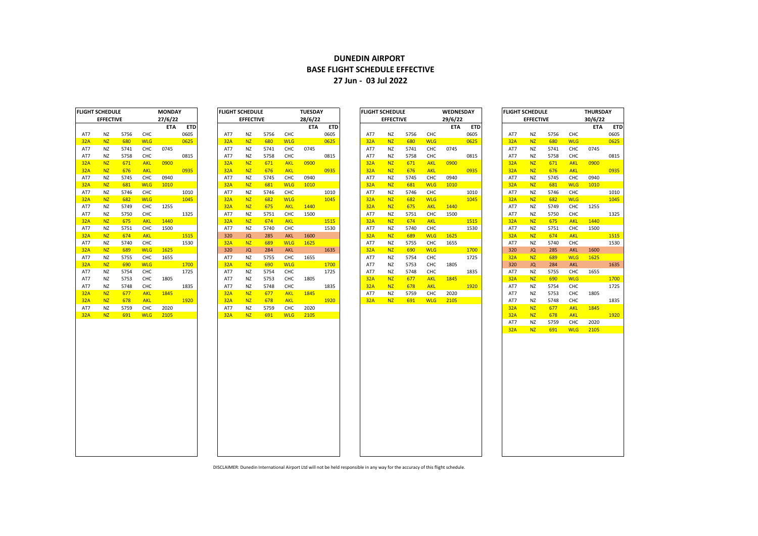## **DUNEDIN AIRPORT BASE FLIGHT SCHEDULE EFFECTIVE 27 Jun - 03 Jul 2022**

|            | <b>FLIGHT SCHEDULE</b> |      |            | <b>MONDAY</b> |            |
|------------|------------------------|------|------------|---------------|------------|
|            | <b>EFFECTIVE</b>       |      |            | 27/6/22       |            |
|            |                        |      |            | <b>ETA</b>    | <b>ETD</b> |
| AT7        | ΝZ                     | 5756 | CHC        |               | 0605       |
| 32A        | NZ                     | 680  | <b>WLG</b> |               | 0625       |
| AT7        | ΝZ                     | 5741 | CHC        | 0745          |            |
| AT7        | NZ                     | 5758 | CHC        |               | 0815       |
| <b>32A</b> | <b>NZ</b>              | 671  | <b>AKL</b> | 0900          |            |
| <b>32A</b> | <b>NZ</b>              | 676  | <b>AKL</b> |               | 0935       |
| AT7        | NZ                     | 5745 | CHC        | 0940          |            |
| 32A        | NZ                     | 681  | <b>WLG</b> | 1010          |            |
| AT7        | ΝZ                     | 5746 | CHC        |               | 1010       |
| <b>32A</b> | <b>NZ</b>              | 682  | <b>WLG</b> |               | 1045       |
| AT7        | ΝZ                     | 5749 | CHC        | 1255          |            |
| AT7        | NZ                     | 5750 | CHC        |               | 1325       |
| <b>32A</b> | <b>NZ</b>              | 675  | <b>AKL</b> | 1440          |            |
| AT7        | ΝZ                     | 5751 | CHC        | 1500          |            |
| <b>32A</b> | <b>NZ</b>              | 674  | <b>AKL</b> |               | 1515       |
| AT7        | NZ                     | 5740 | CHC        |               | 1530       |
| <b>32A</b> | <b>NZ</b>              | 689  | <b>WLG</b> | 1625          |            |
| AT7        | NZ                     | 5755 | CHC        | 1655          |            |
| <b>32A</b> | <b>NZ</b>              | 690  | <b>WLG</b> |               | 1700       |
| AT7        | ΝZ                     | 5754 | CHC        |               | 1725       |
| AT7        | ΝZ                     | 5753 | CHC        | 1805          |            |
| AT7        | ΝZ                     | 5748 | CHC        |               | 1835       |
| <b>32A</b> | <b>NZ</b>              | 677  | <b>AKL</b> | 1845          |            |
| <b>32A</b> | <b>NZ</b>              | 678  | <b>AKL</b> |               | 1920       |
| AT7        | ΝZ                     | 5759 | CHC        | 2020          |            |
| 32A        | NZ                     | 691  | <b>WLG</b> | 2105          |            |
|            |                        |      |            |               |            |

| IGHT SCHEDULE |                  | <b>MONDAY</b> |            |            | <b>IFLIGHT SCHEDULE</b><br><b>TUESDAY</b> |     |                  |      |            | <b>FLIGHT SCHEDULE</b><br>WEDNESDAY |            |     |                  |      |            | <b>IFLIGHT SCHEDULE</b> |            |  |     | THURSDAY         |      |            |            |      |
|---------------|------------------|---------------|------------|------------|-------------------------------------------|-----|------------------|------|------------|-------------------------------------|------------|-----|------------------|------|------------|-------------------------|------------|--|-----|------------------|------|------------|------------|------|
|               | <b>EFFECTIVE</b> |               |            | 27/6/22    |                                           |     | <b>EFFECTIVE</b> |      |            | 28/6/22                             |            |     | <b>EFFECTIVE</b> |      |            | 29/6/22                 |            |  |     | <b>EFFECTIVE</b> |      |            | 30/6/22    |      |
|               |                  |               |            | <b>ETA</b> | <b>ETD</b>                                |     |                  |      |            | <b>ETA</b>                          | <b>ETD</b> |     |                  |      |            | <b>ETA</b>              | <b>ETD</b> |  |     |                  |      |            | <b>ETA</b> | ET   |
| AT7           | <b>NZ</b>        | 5756          | CHC        |            | 0605                                      | AT7 | NZ               | 5756 | CHC        |                                     | 0605       | AT7 | <b>NZ</b>        | 5756 | CHC        |                         | 0605       |  | AT7 | <b>NZ</b>        | 5756 | CHC        |            | 0605 |
| 32A           | N <sub>Z</sub>   | 680           | <b>WLG</b> |            | 0625                                      | 32A | <b>NZ</b>        | 680  | <b>WLG</b> |                                     | 0625       | 32A | <b>NZ</b>        | 680  | <b>WLG</b> |                         | 0625       |  | 32A | N <sub>Z</sub>   | 680  | <b>WLG</b> |            | 0625 |
| AT7           | ΝZ               | 5741          | CHC        | 0745       |                                           | AT7 | NZ               | 5741 | CHC        | 0745                                |            | AT7 | <b>NZ</b>        | 5741 | CHC        | 0745                    |            |  | AT7 | <b>NZ</b>        | 5741 | CHC        | 0745       |      |
| AT7           | NZ               | 5758          | CHC        |            | 0815                                      | AT7 | <b>NZ</b>        | 5758 | CHC        |                                     | 0815       | AT7 | <b>NZ</b>        | 5758 | CHC        |                         | 0815       |  | AT7 | <b>NZ</b>        | 5758 | CHC        |            | 0815 |
| 32A           | <b>NZ</b>        | 671           | <b>AKL</b> | 0900       |                                           | 32A | <b>NZ</b>        | 671  | <b>AKL</b> | 0900                                |            | 32A | <b>NZ</b>        | 671  | <b>AKL</b> | 0900                    |            |  | 32A | <b>NZ</b>        | 671  | <b>AKL</b> | 0900       |      |
| 32A           | <b>NZ</b>        | 676           | <b>AKL</b> |            | 0935                                      | 32A | <b>NZ</b>        | 676  | <b>AKL</b> |                                     | 0935       | 32A | <b>NZ</b>        | 676  | <b>AKL</b> |                         | 0935       |  | 32A | NZ               | 676  | <b>AKL</b> |            | 0935 |
| AT7           | NZ               | 5745          | CHC        | 0940       |                                           | AT7 | NZ               | 5745 | CHC        | 0940                                |            | AT7 | <b>NZ</b>        | 5745 | CHC        | 0940                    |            |  | AT7 | <b>NZ</b>        | 5745 | CHC        | 0940       |      |
| 32A           | <b>NZ</b>        | 681           | <b>WLG</b> | 1010       |                                           | 32A | <b>NZ</b>        | 681  | <b>WLG</b> | 1010                                |            | 32A | <b>NZ</b>        | 681  | <b>WLG</b> | 1010                    |            |  | 32A | NZ               | 681  | <b>WLG</b> | 1010       |      |
| AT7           | <b>NZ</b>        | 5746          | CHC        |            | 1010                                      | AT7 | NZ               | 5746 | CHC        |                                     | 1010       | AT7 | <b>NZ</b>        | 5746 | CHC        |                         | 1010       |  | AT7 | <b>NZ</b>        | 5746 | CHC        |            | 1010 |
| 32A           | <b>NZ</b>        | 682           | <b>WLG</b> |            | 1045                                      | 32A | <b>NZ</b>        | 682  | <b>WLG</b> |                                     | 1045       | 32A | <b>NZ</b>        | 682  | <b>WLG</b> |                         | 1045       |  | 32A | <b>NZ</b>        | 682  | <b>WLG</b> |            | 1045 |
| AT7           | ΝZ               | 5749          | CHC        | 1255       |                                           | 32A | <b>NZ</b>        | 675  | <b>AKL</b> | 1440                                |            | 32A | <b>NZ</b>        | 675  | <b>AKL</b> | 1440                    |            |  | AT7 | <b>NZ</b>        | 5749 | CHC        | 1255       |      |
| AT7           | NZ               | 5750          | CHC        |            | 1325                                      | AT7 | NZ               | 5751 | CHC        | 1500                                |            | AT7 | <b>NZ</b>        | 5751 | CHC        | 1500                    |            |  | AT7 | <b>NZ</b>        | 5750 | CHC        |            | 1325 |
| 32A           | <b>NZ</b>        | 675           | <b>AKL</b> | 1440       |                                           | 32A | <b>NZ</b>        | 674  | <b>AKL</b> |                                     | 1515       | 32A | <b>NZ</b>        | 674  | <b>AKL</b> |                         | 1515       |  | 32A | <b>NZ</b>        | 675  | <b>AKL</b> | 1440       |      |
| AT7           | NZ               | 5751          | CHC        | 1500       |                                           | AT7 | <b>NZ</b>        | 5740 | CHC        |                                     | 1530       | AT7 | <b>NZ</b>        | 5740 | CHC        |                         | 1530       |  | AT7 | <b>NZ</b>        | 5751 | CHC        | 1500       |      |
| 32A           | <b>NZ</b>        | 674           | <b>AKL</b> |            | 1515                                      | 320 | JQ               | 285  | <b>AKL</b> | 1600                                |            | 32A | <b>NZ</b>        | 689  | <b>WLG</b> | 1625                    |            |  | 32A | <b>NZ</b>        | 674  | <b>AKL</b> |            | 1515 |
| AT7           | <b>NZ</b>        | 5740          | CHC        |            | 1530                                      | 32A | <b>NZ</b>        | 689  | <b>WLG</b> | 1625                                |            | AT7 | <b>NZ</b>        | 5755 | CHC        | 1655                    |            |  | AT7 | <b>NZ</b>        | 5740 | CHC        |            | 1530 |
| 32A           | N <sub>Z</sub>   | 689           | <b>WLG</b> | 1625       |                                           | 320 | JQ               | 284  | AKL        |                                     | 1635       | 32A | NZ               | 690  | <b>WLG</b> |                         | 1700       |  | 320 | JQ               | 285  | AKL        | 1600       |      |
| AT7           | <b>NZ</b>        | 5755          | CHC        | 1655       |                                           | AT7 | NZ               | 5755 | CHC        | 1655                                |            | AT7 | <b>NZ</b>        | 5754 | CHC        |                         | 1725       |  | 32A | <b>NZ</b>        | 689  | <b>WLG</b> | 1625       |      |
| 32A           | <b>NZ</b>        | 690           | <b>WLG</b> |            | 1700                                      | 32A | <b>NZ</b>        | 690  | <b>WLG</b> |                                     | 1700       | AT7 | <b>NZ</b>        | 5753 | CHC        | 1805                    |            |  | 320 | <b>JQ</b>        | 284  | <b>AKL</b> |            | 1635 |
| AT7           | ΝZ               | 5754          | CHC        |            | 1725                                      | AT7 | <b>NZ</b>        | 5754 | CHC        |                                     | 1725       | AT7 | <b>NZ</b>        | 5748 | CHC        |                         | 1835       |  | AT7 | <b>NZ</b>        | 5755 | CHC        | 1655       |      |
| AT7           | ΝZ               | 5753          | CHC        | 1805       |                                           | AT7 | <b>NZ</b>        | 5753 | CHC        | 1805                                |            | 32A | <b>NZ</b>        | 677  | <b>AKL</b> | 1845                    |            |  | 32A | <b>NZ</b>        | 690  | <b>WLG</b> |            | 1700 |
| AT7           | ΝZ               | 5748          | CHC        |            | 1835                                      | AT7 | NZ               | 5748 | CHC        |                                     | 1835       | 32A | <b>NZ</b>        | 678  | <b>AKL</b> |                         | 1920       |  | AT7 | <b>NZ</b>        | 5754 | CHC        |            | 1725 |
| 32A           | <b>NZ</b>        | 677           | <b>AKL</b> | 1845       |                                           | 32A | <b>NZ</b>        | 677  | <b>AKL</b> | 1845                                |            | AT7 | <b>NZ</b>        | 5759 | CHC        | 2020                    |            |  | AT7 | <b>NZ</b>        | 5753 | CHC        | 1805       |      |
| 32A           | <b>NZ</b>        | 678           | <b>AKL</b> |            | 1920                                      | 32A | <b>NZ</b>        | 678  | <b>AKL</b> |                                     | 1920       | 32A | <b>NZ</b>        | 691  | <b>WLG</b> | 2105                    |            |  | AT7 | <b>NZ</b>        | 5748 | CHC        |            | 1835 |
| AT7           | <b>NZ</b>        | 5759          | CHC        | 2020       |                                           | AT7 | NZ               | 5759 | CHC        | 2020                                |            |     |                  |      |            |                         |            |  | 32A | <b>NZ</b>        | 677  | <b>AKL</b> | 1845       |      |
| 32A           | <b>NZ</b>        | 691           | <b>WLG</b> | 2105       |                                           | 32A | <b>NZ</b>        | 691  | <b>WLG</b> | 2105                                |            |     |                  |      |            |                         |            |  | 32A | <b>NZ</b>        | 678  | <b>AKL</b> |            | 1920 |
|               |                  |               |            |            |                                           |     |                  |      |            |                                     |            |     |                  |      |            |                         |            |  | AT7 | <b>NZ</b>        | 5759 | CHC        | 2020       |      |
|               |                  |               |            |            |                                           |     |                  |      |            |                                     |            |     |                  |      |            |                         |            |  | 32A | <b>NZ</b>        | 691  | <b>WLG</b> | 2105       |      |
|               |                  |               |            |            |                                           |     |                  |      |            |                                     |            |     |                  |      |            |                         |            |  |     |                  |      |            |            |      |

| <b>FLIGHT SCHEDULE</b> |                  |      | <b>MONDAY</b> |            |            | <b>FLIGHT SCHEDULE</b> |                  |      |            | <b>TUESDAY</b> |            | <b>FLIGHT SCHEDULE</b> |                  |      |            | <b>WEDNESDAY</b> |            | <b>FLIGHT SCHEDULE</b> |                |      |            | <b>THURSDAY</b> |            |  |
|------------------------|------------------|------|---------------|------------|------------|------------------------|------------------|------|------------|----------------|------------|------------------------|------------------|------|------------|------------------|------------|------------------------|----------------|------|------------|-----------------|------------|--|
|                        | <b>EFFECTIVE</b> |      |               | 27/6/22    |            |                        | <b>EFFECTIVE</b> |      |            | 28/6/22        |            |                        | <b>EFFECTIVE</b> |      |            | 29/6/22          |            | <b>EFFECTIVE</b>       |                |      |            | 30/6/22         |            |  |
|                        |                  |      |               | <b>ETA</b> | <b>ETD</b> |                        |                  |      |            | <b>ETA</b>     | <b>ETD</b> |                        |                  |      |            | <b>ETA</b>       | <b>ETD</b> |                        |                |      |            | <b>ETA</b>      | <b>ETD</b> |  |
| AT7                    | <b>NZ</b>        | 5756 | CHC           |            | 0605       | AT7                    | <b>NZ</b>        | 5756 | CHC        |                | 0605       | AT7                    | NZ               | 5756 | CHC        |                  | 0605       | AT7                    | <b>NZ</b>      | 5756 | CHC        |                 | 0605       |  |
| 32A                    | <b>NZ</b>        | 680  | <b>WLG</b>    |            | 0625       | 32A                    | <b>NZ</b>        | 680  | <b>WLG</b> |                | 0625       | 32A                    | <b>NZ</b>        | 680  | <b>WLG</b> |                  | 0625       | 32A                    | N <sub>Z</sub> | 680  | <b>WLG</b> |                 | 0625       |  |
| AT7                    | <b>NZ</b>        | 5741 | CHC           | 0745       |            | AT7                    | <b>NZ</b>        | 5741 | CHC        | 0745           |            | AT7                    | NZ               | 5741 | CHC        | 0745             |            | AT7                    | <b>NZ</b>      | 5741 | CHC        | 0745            |            |  |
| AT7                    | <b>NZ</b>        | 5758 | CHC           |            | 0815       | AT7                    | <b>NZ</b>        | 5758 | CHC        |                | 0815       | AT7                    | NZ               | 5758 | CHC        |                  | 0815       | AT7                    | <b>NZ</b>      | 5758 | CHC        |                 | 0815       |  |
| 32A                    | <b>NZ</b>        | 671  | <b>AKL</b>    | 0900       |            | 32A                    | <b>NZ</b>        | 671  | <b>AKL</b> | 0900           |            | 32A                    | <b>NZ</b>        | 671  | <b>AKL</b> | 0900             |            | 32A                    | N <sub>Z</sub> | 671  | <b>AKL</b> | 0900            |            |  |
| 32A                    | N <sub>Z</sub>   | 676  | <b>AKL</b>    |            | 0935       | 32A                    | N <sub>Z</sub>   | 676  | <b>AKL</b> |                | 0935       | 32A                    | <b>NZ</b>        | 676  | <b>AKL</b> |                  | 0935       | 32A                    | <b>NZ</b>      | 676  | <b>AKL</b> |                 | 0935       |  |
| AT7                    | <b>NZ</b>        | 5745 | CHC           | 0940       |            | AT7                    | <b>NZ</b>        | 5745 | CHC        | 0940           |            | AT7                    | <b>NZ</b>        | 5745 | CHC        | 0940             |            | AT7                    | <b>NZ</b>      | 5745 | CHC        | 0940            |            |  |
| 32A                    | N <sub>Z</sub>   | 681  | <b>WLG</b>    | 1010       |            | 32A                    | N <sub>Z</sub>   | 681  | <b>WLG</b> | 1010           |            | 32A                    | <b>NZ</b>        | 681  | <b>WLG</b> | 1010             |            | 32A                    | <b>NZ</b>      | 681  | <b>WLG</b> | 1010            |            |  |
| AT7                    | <b>NZ</b>        | 5746 | CHC           |            | 1010       | AT7                    | <b>NZ</b>        | 5746 | CHC        |                | 1010       | AT7                    | NZ               | 5746 | CHC        |                  | 1010       | AT7                    | <b>NZ</b>      | 5746 | <b>CHC</b> |                 | 1010       |  |
| 32A                    | <b>NZ</b>        | 682  | <b>WLG</b>    |            | 1045       | 32A                    | <b>NZ</b>        | 682  | <b>WLG</b> |                | 1045       | 32A                    | N <sub>Z</sub>   | 682  | <b>WLG</b> |                  | 1045       | 32A                    | <b>NZ</b>      | 682  | <b>WLG</b> |                 | 1045       |  |
| AT7                    | <b>NZ</b>        | 5749 | CHC           | 1255       |            | 32A                    | N <sub>Z</sub>   | 675  | <b>AKL</b> | 1440           |            | 32A                    | <b>NZ</b>        | 675  | <b>AKL</b> | 1440             |            | AT7                    | <b>NZ</b>      | 5749 | CHC        | 1255            |            |  |
| AT7                    | <b>NZ</b>        | 5750 | CHC           |            | 1325       | AT7                    | <b>NZ</b>        | 5751 | <b>CHC</b> | 1500           |            | AT7                    | NZ               | 5751 | CHC        | 1500             |            | AT7                    | <b>NZ</b>      | 5750 | CHC        |                 | 1325       |  |
| 32A                    | <b>NZ</b>        | 675  | <b>AKL</b>    | 1440       |            | 32A                    | N <sub>Z</sub>   | 674  | <b>AKL</b> |                | 1515       | 32A                    | <b>NZ</b>        | 674  | <b>AKL</b> |                  | 1515       | 32A                    | <b>NZ</b>      | 675  | <b>AKL</b> | 1440            |            |  |
| AT7                    | <b>NZ</b>        | 5751 | CHC           | 1500       |            | AT7                    | <b>NZ</b>        | 5740 | CHC        |                | 1530       | AT7                    | NZ               | 5740 | CHC        |                  | 1530       | AT7                    | <b>NZ</b>      | 5751 | CHC        | 1500            |            |  |
| 32A                    | N <sub>Z</sub>   | 674  | <b>AKL</b>    |            | 1515       | 320                    | JQ               | 285  | <b>AKL</b> | 1600           |            | 32A                    | <b>NZ</b>        | 689  | <b>WLG</b> | 1625             |            | 32A                    | <b>NZ</b>      | 674  | <b>AKL</b> |                 | 1515       |  |
| AT7                    | <b>NZ</b>        | 5740 | CHC           |            | 1530       | 32A                    | N <sub>Z</sub>   | 689  | <b>WLG</b> | 1625           |            | AT7                    | NZ.              | 5755 | CHC        | 1655             |            | AT7                    | <b>NZ</b>      | 5740 | <b>CHC</b> |                 | 1530       |  |
| 32A                    | <b>NZ</b>        | 689  | <b>WLG</b>    | 1625       |            | 320                    | JQ               | 284  | <b>AKL</b> |                | 1635       | 32A                    | N <sub>Z</sub>   | 690  | <b>WLG</b> |                  | 1700       | 320                    | JQ             | 285  | <b>AKL</b> | 1600            |            |  |
| AT7                    | <b>NZ</b>        | 5755 | CHC           | 1655       |            | AT7                    | <b>NZ</b>        | 5755 | CHC        | 1655           |            | AT7                    | NZ.              | 5754 | CHC        |                  | 1725       | 32A                    | N <sub>Z</sub> | 689  | <b>WLG</b> | 1625            |            |  |
| 32A                    | <b>NZ</b>        | 690  | <b>WLG</b>    |            | 1700       | 32A                    | <b>NZ</b>        | 690  | <b>WLG</b> |                | 1700       | AT7                    | <b>NZ</b>        | 5753 | CHC        | 1805             |            | 320                    | JQ             | 284  | <b>AKL</b> |                 | 1635       |  |
| AT7                    | <b>NZ</b>        | 5754 | CHC           |            | 1725       | AT7                    | <b>NZ</b>        | 5754 | CHC        |                | 1725       | AT7                    | <b>NZ</b>        | 5748 | CHC        |                  | 1835       | AT7                    | <b>NZ</b>      | 5755 | CHC        | 1655            |            |  |
| AT7                    | <b>NZ</b>        | 5753 | CHC           | 1805       |            | AT7                    | <b>NZ</b>        | 5753 | CHC        | 1805           |            | 32A                    | <b>NZ</b>        | 677  | <b>AKL</b> | 1845             |            | 32A                    | N <sub>Z</sub> | 690  | <b>WLG</b> |                 | 1700       |  |
| AT7                    | <b>NZ</b>        | 5748 | CHC           |            | 1835       | AT7                    | <b>NZ</b>        | 5748 | CHC        |                | 1835       | 32A                    | <b>NZ</b>        | 678  | <b>AKL</b> |                  | 1920       | AT7                    | NZ             | 5754 | CHC        |                 | 1725       |  |
| 32A                    | N <sub>Z</sub>   | 677  | <b>AKL</b>    | 1845       |            | 32A                    | N <sub>7</sub>   | 677  | <b>AKL</b> | 1845           |            | AT7                    | <b>NZ</b>        | 5759 | CHC        | 2020             |            | AT7                    | <b>NZ</b>      | 5753 | CHC        | 1805            |            |  |
| 32A                    | N <sub>Z</sub>   | 678  | <b>AKL</b>    |            | 1920       | 32A                    | <b>NZ</b>        | 678  | <b>AKL</b> |                | 1920       | 32A                    | <b>NZ</b>        | 691  | <b>WLG</b> | 2105             |            | AT7                    | <b>NZ</b>      | 5748 | CHC        |                 | 1835       |  |
| AT7                    | <b>N7</b>        | 5759 | <b>CHC</b>    | 2020       |            | AT7                    | N7               | 5759 | <b>CHC</b> | 2020           |            |                        |                  |      |            |                  |            | 32A                    | N <sub>7</sub> | 677  | <b>AKI</b> | 1845            |            |  |

|     | <b>FLIGHT SCHEDULE</b> |      |            | <b>THURSDAY</b> |      |
|-----|------------------------|------|------------|-----------------|------|
|     | <b>EFFECTIVE</b>       |      |            | 30/6/22         |      |
|     |                        |      |            | ETA             | ETD  |
| AT7 | ΝZ                     | 5756 | CHC        |                 | 0605 |
| 32A | NZ                     | 680  | <b>WLG</b> |                 | 0625 |
| AT7 | ΝZ                     | 5741 | CHC        | 0745            |      |
| AT7 | ΝZ                     | 5758 | CHC        |                 | 0815 |
| 32A | <b>NZ</b>              | 671  | <b>AKL</b> | 0900            |      |
| 32A | <b>NZ</b>              | 676  | <b>AKL</b> |                 | 0935 |
| AT7 | ΝZ                     | 5745 | CHC        | 0940            |      |
| 32A | NZ                     | 681  | <b>WLG</b> | 1010            |      |
| AT7 | ΝZ                     | 5746 | CHC        |                 | 1010 |
| 32A | NZ                     | 682  | <b>WLG</b> |                 | 1045 |
| AT7 | ΝZ                     | 5749 | CHC        | 1255            |      |
| AT7 | ΝZ                     | 5750 | CHC        |                 | 1325 |
| 32A | NZ                     | 675  | <b>AKL</b> | 1440            |      |
| AT7 | ΝZ                     | 5751 | CHC        | 1500            |      |
| 32A | <b>NZ</b>              | 674  | <b>AKL</b> |                 | 1515 |
| AT7 | ΝZ                     | 5740 | CHC        |                 | 1530 |
| 320 | JQ                     | 285  | <b>AKL</b> | 1600            |      |
| 32A | <b>NZ</b>              | 689  | <b>WLG</b> | 1625            |      |
| 320 | JQ                     | 284  | <b>AKL</b> |                 | 1635 |
| AT7 | ΝZ                     | 5755 | CHC        | 1655            |      |
| 32A | <b>NZ</b>              | 690  | <b>WLG</b> |                 | 1700 |
| AT7 | NZ                     | 5754 | CHC        |                 | 1725 |
| AT7 | ΝZ                     | 5753 | CHC        | 1805            |      |
| AT7 | NZ                     | 5748 | CHC        |                 | 1835 |
| 32A | <b>NZ</b>              | 677  | <b>AKL</b> | 1845            |      |
| 32A | <b>NZ</b>              | 678  | <b>AKL</b> |                 | 1920 |
| AT7 | ΝZ                     | 5759 | CHC        | 2020            |      |
| 32A | NZ.                    | 691  | <b>WLG</b> | 2105            |      |

DISCLAIMER: Dunedin International Airport Ltd will not be held responsible in any way for the accuracy of this flight schedule.